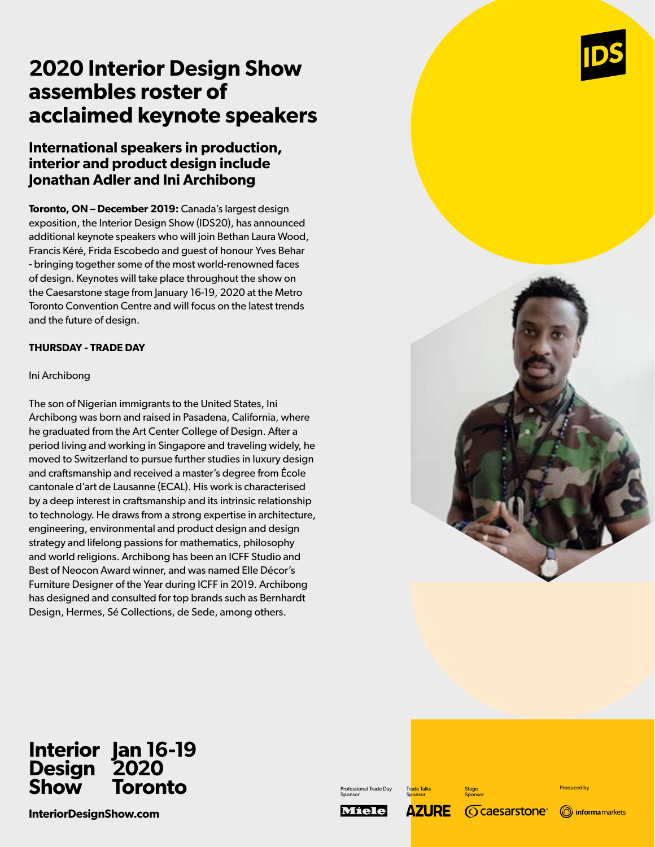# **2020 Interior Design Show assembles roster of acclaimed keynote speakers**

## **International speakers in production, interior and product design include Jonathan Adler and Ini Archibong**

**Toronto, ON – December 2019:** Canada's largest design exposition, the Interior Design Show (IDS20), has announced additional keynote speakers who will join Bethan Laura Wood, Francis Kéré, Frida Escobedo and guest of honour Yves Behar - bringing together some of the most world-renowned faces of design. Keynotes will take place throughout the show on the Caesarstone stage from January 16-19, 2020 at the Metro Toronto Convention Centre and will focus on the latest trends and the future of design.

## **THURSDAY - TRADE DAY**

#### Ini Archibong

The son of Nigerian immigrants to the United States, Ini Archibong was born and raised in Pasadena, California, where he graduated from the Art Center College of Design. After a period living and working in Singapore and traveling widely, he moved to Switzerland to pursue further studies in luxury design and craftsmanship and received a master's degree from École cantonale d'art de Lausanne (ECAL). His work is characterised by a deep interest in craftsmanship and its intrinsic relationship to technology. He draws from a strong expertise in architecture, engineering, environmental and product design and design strategy and lifelong passions for mathematics, philosophy and world religions. Archibong has been an ICFF Studio and Best of Neocon Award winner, and was named Elle Décor's Furniture Designer of the Year during ICFF in 2019. Archibong has designed and consulted for top brands such as Bernhardt Design, Hermes, Sé Collections, de Sede, among others.



#### **Interior Design Show Jan 16-19 2020 Toronto**

**InteriorDesignShow.com**

Professional Trade Day Sponsor

Miele

**AZURE** 

Trade Talks **Sponsor** 

Sponsor

**Stage** 

**Ocaesarstone**®



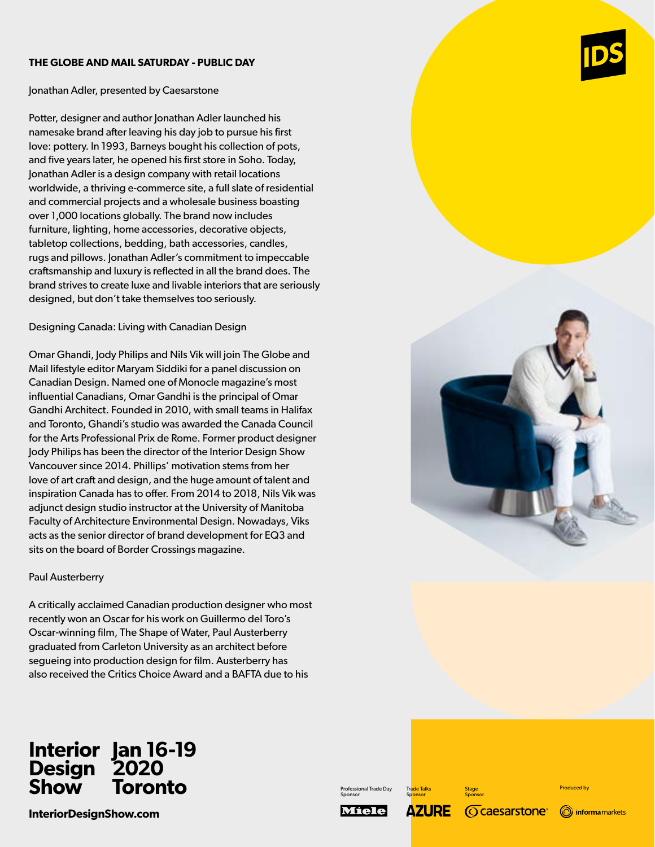#### **THE GLOBE AND MAIL SATURDAY - PUBLIC DAY**

Jonathan Adler, presented by Caesarstone

Potter, designer and author Jonathan Adler launched his namesake brand after leaving his day job to pursue his first love: pottery. In 1993, Barneys bought his collection of pots, and five years later, he opened his first store in Soho. Today, Jonathan Adler is a design company with retail locations worldwide, a thriving e-commerce site, a full slate of residential and commercial projects and a wholesale business boasting over 1,000 locations globally. The brand now includes furniture, lighting, home accessories, decorative objects, tabletop collections, bedding, bath accessories, candles, rugs and pillows. Jonathan Adler's commitment to impeccable craftsmanship and luxury is reflected in all the brand does. The brand strives to create luxe and livable interiors that are seriously designed, but don't take themselves too seriously.

Designing Canada: Living with Canadian Design

Omar Ghandi, Jody Philips and Nils Vik will join The Globe and Mail lifestyle editor Maryam Siddiki for a panel discussion on Canadian Design. Named one of Monocle magazine's most influential Canadians, Omar Gandhi is the principal of Omar Gandhi Architect. Founded in 2010, with small teams in Halifax and Toronto, Ghandi's studio was awarded the Canada Council for the Arts Professional Prix de Rome. Former product designer Jody Philips has been the director of the Interior Design Show Vancouver since 2014. Phillips' motivation stems from her love of art craft and design, and the huge amount of talent and inspiration Canada has to offer. From 2014 to 2018, Nils Vik was adjunct design studio instructor at the University of Manitoba Faculty of Architecture Environmental Design. Nowadays, Viks acts as the senior director of brand development for EQ3 and sits on the board of Border Crossings magazine.

## Paul Austerberry

A critically acclaimed Canadian production designer who most recently won an Oscar for his work on Guillermo del Toro's Oscar-winning film, The Shape of Water, Paul Austerberry graduated from Carleton University as an architect before segueing into production design for film. Austerberry has also received the Critics Choice Award and a BAFTA due to his





#### **Interior Design Show Jan 16-19 2020 Toronto**

**InteriorDesignShow.com**

Professional Trade Day Sponsor

**Sponsor** Miele **AZURE** *<u>Ocaesarstone</u>* 

Trade Talks

**Stage** Sponsor Produced by

(O) informamarkets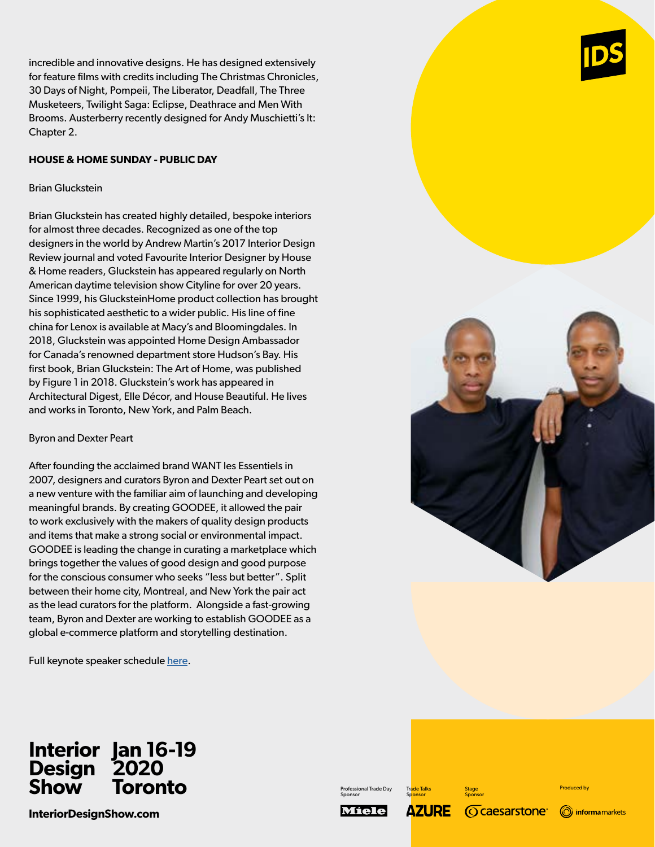incredible and innovative designs. He has designed extensively for feature films with credits including The Christmas Chronicles, 30 Days of Night, Pompeii, The Liberator, Deadfall, The Three Musketeers, Twilight Saga: Eclipse, Deathrace and Men With Brooms. Austerberry recently designed for Andy Muschietti's It: Chapter 2.

## **HOUSE & HOME SUNDAY - PUBLIC DAY**

#### Brian Gluckstein

Brian Gluckstein has created highly detailed, bespoke interiors for almost three decades. Recognized as one of the top designers in the world by Andrew Martin's 2017 Interior Design Review journal and voted Favourite Interior Designer by House & Home readers, Gluckstein has appeared regularly on North American daytime television show Cityline for over 20 years. Since 1999, his GlucksteinHome product collection has brought his sophisticated aesthetic to a wider public. His line of fine china for Lenox is available at Macy's and Bloomingdales. In 2018, Gluckstein was appointed Home Design Ambassador for Canada's renowned department store Hudson's Bay. His first book, Brian Gluckstein: The Art of Home, was published by Figure 1 in 2018. Gluckstein's work has appeared in Architectural Digest, Elle Décor, and House Beautiful. He lives and works in Toronto, New York, and Palm Beach.

## Byron and Dexter Peart

After founding the acclaimed brand WANT les Essentiels in 2007, designers and curators Byron and Dexter Peart set out on a new venture with the familiar aim of launching and developing meaningful brands. By creating GOODEE, it allowed the pair to work exclusively with the makers of quality design products and items that make a strong social or environmental impact. GOODEE is leading the change in curating a marketplace which brings together the values of good design and good purpose for the conscious consumer who seeks "less but better". Split between their home city, Montreal, and New York the pair act as the lead curators for the platform. Alongside a fast-growing team, Byron and Dexter are working to establish GOODEE as a global e-commerce platform and storytelling destination.

Full keynote speaker schedule here.

#### **Interior Design Show Jan 16-19 2020 Toronto**

**InteriorDesignShow.com**



Professional Trade Day Sponsor Miele

**Sponsor AZURE** *<u>Ocaesarstone</u>* 

Trade Talks

**Stage** Sponsor Produced by

(O) informamarkets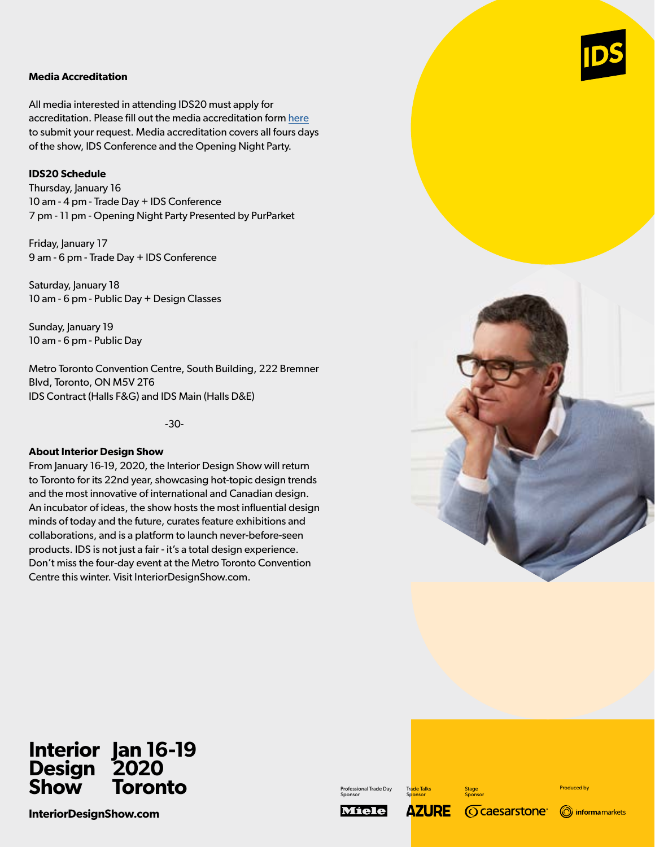#### **Media Accreditation**

All media interested in attending IDS20 must apply for accreditation. Please fill out the media accreditation form here to submit your request. Media accreditation covers all fours days of the show, IDS Conference and the Opening Night Party.

#### **IDS20 Schedule**

Thursday, January 16 10 am - 4 pm - Trade Day + IDS Conference 7 pm - 11 pm - Opening Night Party Presented by PurParket

Friday, January 17 9 am - 6 pm - Trade Day + IDS Conference

Saturday, January 18 10 am - 6 pm - Public Day + Design Classes

Sunday, January 19 10 am - 6 pm - Public Day

Metro Toronto Convention Centre, South Building, 222 Bremner Blvd, Toronto, ON M5V 2T6 IDS Contract (Halls F&G) and IDS Main (Halls D&E)

-30-

#### **About Interior Design Show**

From January 16-19, 2020, the Interior Design Show will return to Toronto for its 22nd year, showcasing hot-topic design trends and the most innovative of international and Canadian design. An incubator of ideas, the show hosts the most influential design minds of today and the future, curates feature exhibitions and collaborations, and is a platform to launch never-before-seen products. IDS is not just a fair - it's a total design experience. Don't miss the four-day event at the Metro Toronto Convention Centre this winter. Visit InteriorDesignShow.com.



#### **Interior Design Show Jan 16-19 2020 Toronto**

**InteriorDesignShow.com**

Professional Trade Day Sponsor

**Miele** 

Trade Talks **Sponsor AZURE** *<u>Ocaesarstone</u>* 

**Stage** Sponsor Produced by